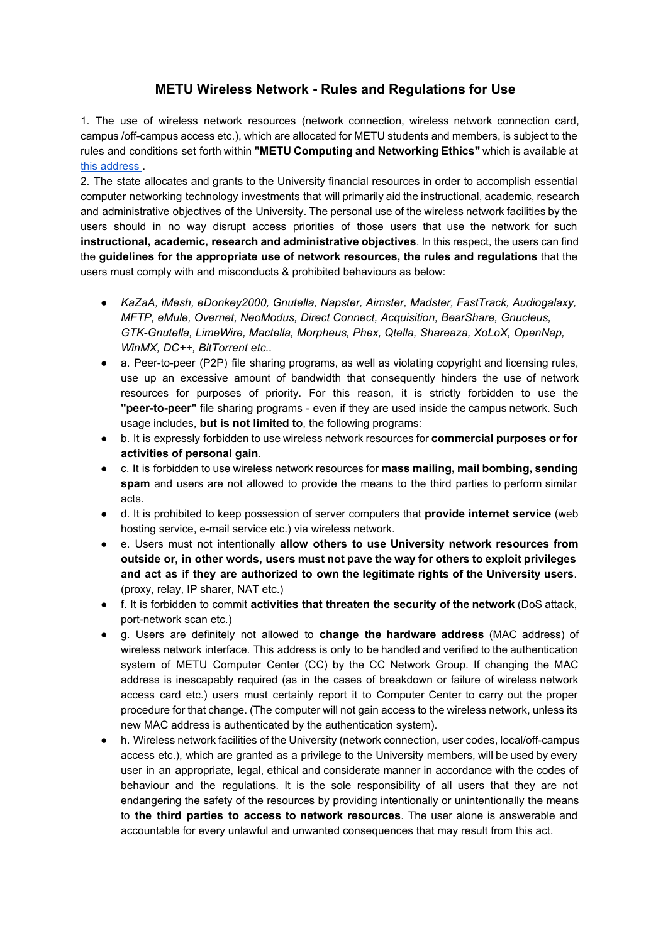## **METU Wireless Network Rules and Regulations for Use**

1. The use of wireless network resources (network connection, wireless network connection card, campus /off-campus access etc.), which are allocated for METU students and members, is subject to the rules and conditions set forth within **"METU Computing and Networking Ethics"** which is available a[t](http://computing-ethics.metu.edu.tr/) this [address](http://computing-ethics.metu.edu.tr/) .

2. The state allocates and grants to the University financial resources in order to accomplish essential computer networking technology investments that will primarily aid the instructional, academic, research and administrative objectives of the University. The personal use of the wireless network facilities by the users should in no way disrupt access priorities of those users that use the network for such **instructional, academic, research and administrative objectives**. In this respect, the users can find the **guidelines for the appropriate use of network resources, the rules and regulations** that the users must comply with and misconducts & prohibited behaviours as below:

- *KaZaA, iMesh, eDonkey2000, Gnutella, Napster, Aimster, Madster, FastTrack, Audiogalaxy, MFTP, eMule, Overnet, NeoModus, Direct Connect, Acquisition, BearShare, Gnucleus, GTKGnutella, LimeWire, Mactella, Morpheus, Phex, Qtella, Shareaza, XoLoX, OpenNap, WinMX, DC++, BitTorrent etc..*
- a. Peer-to-peer (P2P) file sharing programs, as well as violating copyright and licensing rules, use up an excessive amount of bandwidth that consequently hinders the use of network resources for purposes of priority. For this reason, it is strictly forbidden to use the **"peer-to-peer"** file sharing programs - even if they are used inside the campus network. Such usage includes, **but is not limited to**, the following programs:
- b. It is expressly forbidden to use wireless network resources for **commercial purposes or for activities of personal gain**.
- c. It is forbidden to use wireless network resources for **mass mailing, mail bombing, sending spam** and users are not allowed to provide the means to the third parties to perform similar acts.
- d. It is prohibited to keep possession of server computers that **provide internet service** (web hosting service, e-mail service etc.) via wireless network.
- e. Users must not intentionally **allow others to use University network resources from outside or, in other words, users must not pave the way for others to exploit privileges and act as if they are authorized to own the legitimate rights of the University users**. (proxy, relay, IP sharer, NAT etc.)
- f. It is forbidden to commit **activities that threaten the security of the network** (DoS attack, port-network scan etc.)
- g. Users are definitely not allowed to **change the hardware address** (MAC address) of wireless network interface. This address is only to be handled and verified to the authentication system of METU Computer Center (CC) by the CC Network Group. If changing the MAC address is inescapably required (as in the cases of breakdown or failure of wireless network access card etc.) users must certainly report it to Computer Center to carry out the proper procedure for that change. (The computer will not gain access to the wireless network, unless its new MAC address is authenticated by the authentication system).
- h. Wireless network facilities of the University (network connection, user codes, local/off-campus access etc.), which are granted as a privilege to the University members, will be used by every user in an appropriate, legal, ethical and considerate manner in accordance with the codes of behaviour and the regulations. It is the sole responsibility of all users that they are not endangering the safety of the resources by providing intentionally or unintentionally the means to **the third parties to access to network resources**. The user alone is answerable and accountable for every unlawful and unwanted consequences that may result from this act.